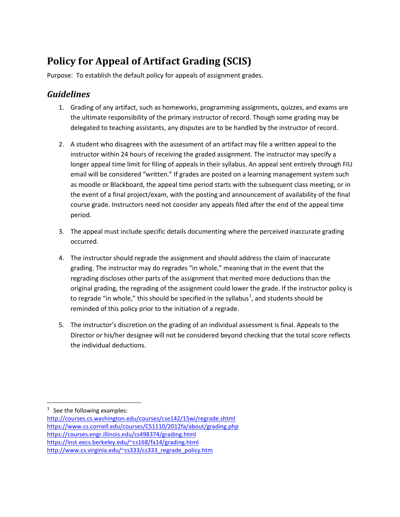## **Policy for Appeal of Artifact Grading (SCIS)**

Purpose: To establish the default policy for appeals of assignment grades.

## *Guidelines*

- 1. Grading of any artifact, such as homeworks, programming assignments, quizzes, and exams are the ultimate responsibility of the primary instructor of record. Though some grading may be delegated to teaching assistants, any disputes are to be handled by the instructor of record.
- 2. A student who disagrees with the assessment of an artifact may file a written appeal to the instructor within 24 hours of receiving the graded assignment. The instructor may specify a longer appeal time limit for filing of appeals in their syllabus. An appeal sent entirely through FIU email will be considered "written." If grades are posted on a learning management system such as moodle or Blackboard, the appeal time period starts with the subsequent class meeting, or in the event of a final project/exam, with the posting and announcement of availability of the final course grade. Instructors need not consider any appeals filed after the end of the appeal time period.
- 3. The appeal must include specific details documenting where the perceived inaccurate grading occurred.
- 4. The instructor should regrade the assignment and should address the claim of inaccurate grading. The instructor may do regrades "in whole," meaning that in the event that the regrading discloses other parts of the assignment that merited more deductions than the original grading, the regrading of the assignment could lower the grade. If the instructor policy is to regrade "in whole," this should be specified in the syllabus<sup>[1](#page-0-0)</sup>, and students should be reminded of this policy prior to the initiation of a regrade.
- 5. The instructor's discretion on the grading of an individual assessment is final. Appeals to the Director or his/her designee will not be considered beyond checking that the total score reflects the individual deductions.

 $\overline{\phantom{a}}$ 

<span id="page-0-0"></span> $1$  See the following examples:

<http://courses.cs.washington.edu/courses/cse142/15wi/regrade.shtml> <https://www.cs.cornell.edu/courses/CS1110/2012fa/about/grading.php> <https://courses.engr.illinois.edu/cs498374/grading.html> [https://inst.eecs.berkeley.edu/~cs168/fa14/grading.html](https://inst.eecs.berkeley.edu/%7Ecs168/fa14/grading.html) [http://www.cs.virginia.edu/~cs333/cs333\\_regrade\\_policy.htm](http://www.cs.virginia.edu/%7Ecs333/cs333_regrade_policy.htm)